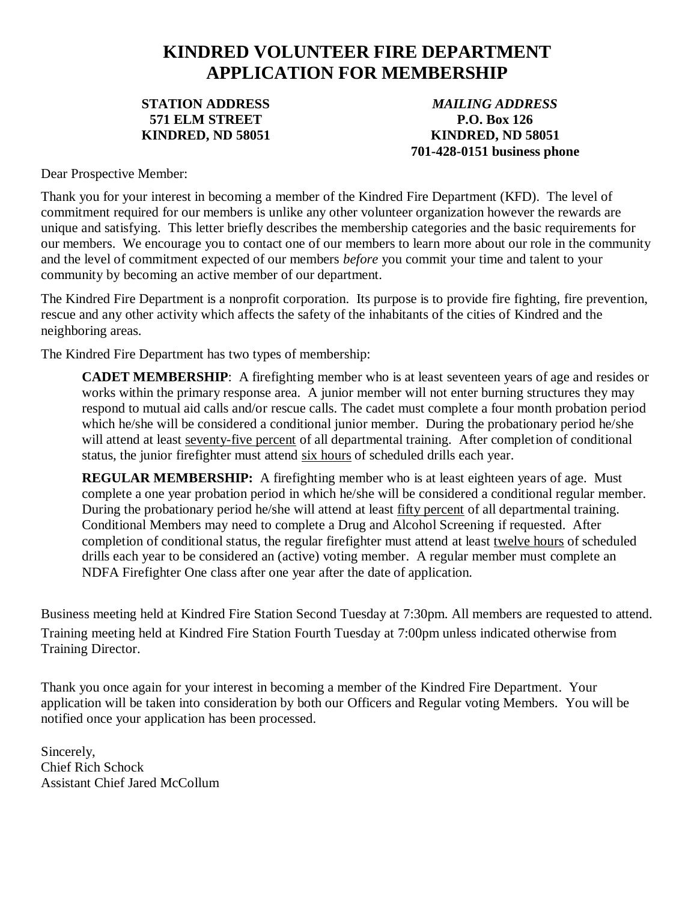### **KINDRED VOLUNTEER FIRE DEPARTMENT APPLICATION FOR MEMBERSHIP**

#### **STATION ADDRESS 571 ELM STREET KINDRED, ND 58051**

*MAILING ADDRESS* **P.O. Box 126 KINDRED, ND 58051 701-428-0151 business phone**

Dear Prospective Member:

Thank you for your interest in becoming a member of the Kindred Fire Department (KFD). The level of commitment required for our members is unlike any other volunteer organization however the rewards are unique and satisfying. This letter briefly describes the membership categories and the basic requirements for our members. We encourage you to contact one of our members to learn more about our role in the community and the level of commitment expected of our members *before* you commit your time and talent to your community by becoming an active member of our department.

The Kindred Fire Department is a nonprofit corporation. Its purpose is to provide fire fighting, fire prevention, rescue and any other activity which affects the safety of the inhabitants of the cities of Kindred and the neighboring areas.

The Kindred Fire Department has two types of membership:

**CADET MEMBERSHIP**: A firefighting member who is at least seventeen years of age and resides or works within the primary response area. A junior member will not enter burning structures they may respond to mutual aid calls and/or rescue calls. The cadet must complete a four month probation period which he/she will be considered a conditional junior member. During the probationary period he/she will attend at least seventy-five percent of all departmental training. After completion of conditional status, the junior firefighter must attend six hours of scheduled drills each year.

**REGULAR MEMBERSHIP:** A firefighting member who is at least eighteen years of age. Must complete a one year probation period in which he/she will be considered a conditional regular member. During the probationary period he/she will attend at least fifty percent of all departmental training. Conditional Members may need to complete a Drug and Alcohol Screening if requested. After completion of conditional status, the regular firefighter must attend at least twelve hours of scheduled drills each year to be considered an (active) voting member. A regular member must complete an NDFA Firefighter One class after one year after the date of application.

Business meeting held at Kindred Fire Station Second Tuesday at 7:30pm. All members are requested to attend. Training meeting held at Kindred Fire Station Fourth Tuesday at 7:00pm unless indicated otherwise from Training Director.

Thank you once again for your interest in becoming a member of the Kindred Fire Department. Your application will be taken into consideration by both our Officers and Regular voting Members. You will be notified once your application has been processed.

Sincerely, Chief Rich Schock Assistant Chief Jared McCollum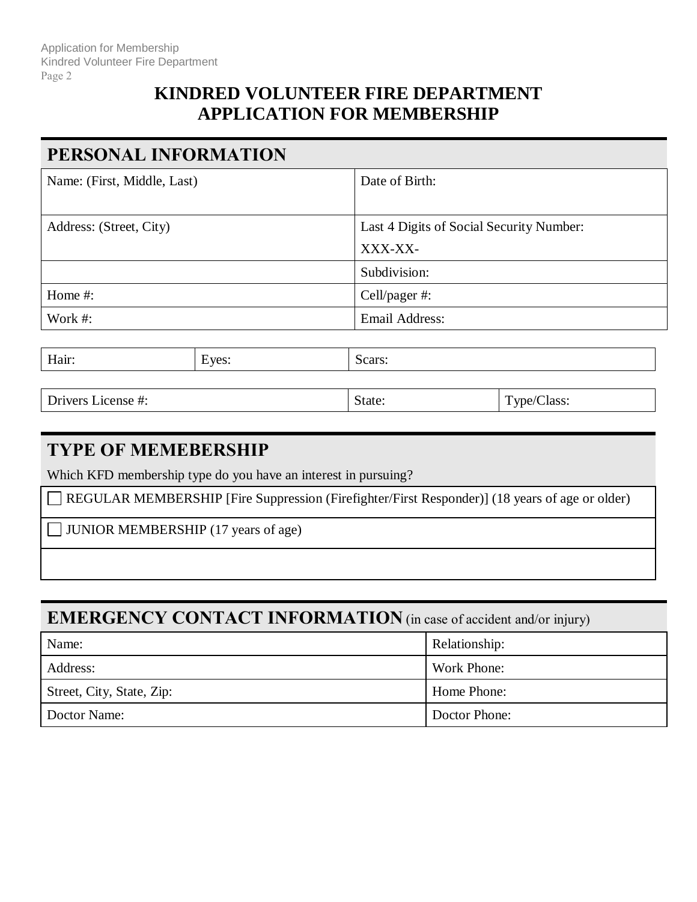### **KINDRED VOLUNTEER FIRE DEPARTMENT APPLICATION FOR MEMBERSHIP**

### **PERSONAL INFORMATION**

| Name: (First, Middle, Last) | Date of Birth:                           |
|-----------------------------|------------------------------------------|
|                             |                                          |
| Address: (Street, City)     | Last 4 Digits of Social Security Number: |
|                             | XXX-XX-                                  |
|                             | Subdivision:                             |
| Home $#$ :                  | Cell/pager #:                            |
| Work #:                     | Email Address:                           |

| $\mathbf{L}^{\mathbf{r}}$<br>$V\mathsf{P}'$<br>--<br>$\overline{1111}$<br>$\sim$ | $-22.5$ |
|----------------------------------------------------------------------------------|---------|
|----------------------------------------------------------------------------------|---------|

Drivers License #: State: Type/Class: Type/Class:

#### **TYPE OF MEMEBERSHIP**

Which KFD membership type do you have an interest in pursuing?

REGULAR MEMBERSHIP [Fire Suppression (Firefighter/First Responder)] (18 years of age or older)

**JUNIOR MEMBERSHIP** (17 years of age)

#### **EMERGENCY CONTACT INFORMATION** (in case of accident and/or injury)

| Name:                     | Relationship: |
|---------------------------|---------------|
| Address:                  | Work Phone:   |
| Street, City, State, Zip: | Home Phone:   |
| Doctor Name:              | Doctor Phone: |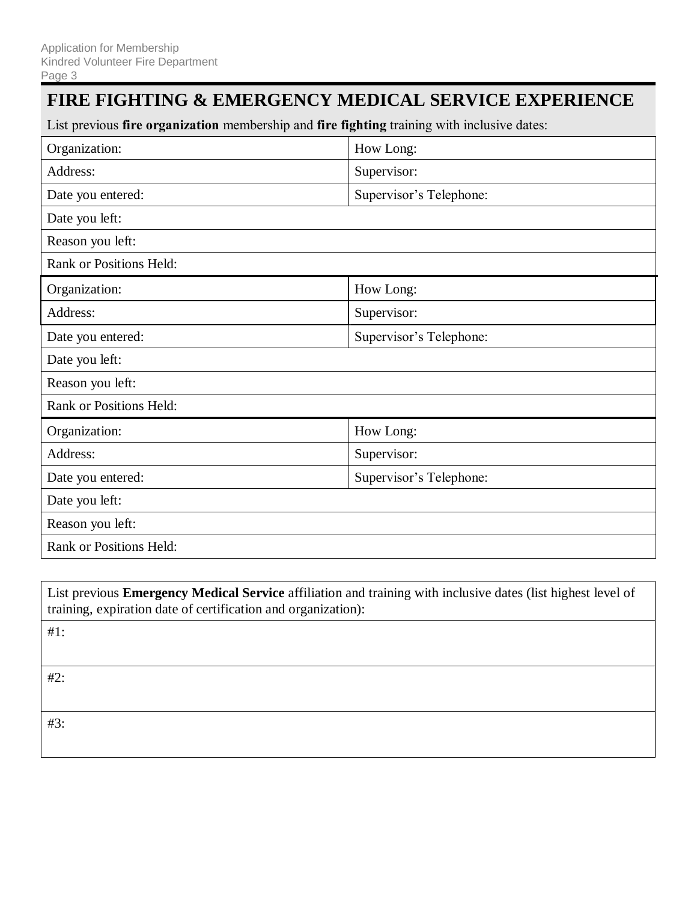### **FIRE FIGHTING & EMERGENCY MEDICAL SERVICE EXPERIENCE**

List previous **fire organization** membership and **fire fighting** training with inclusive dates:

| Organization:                  | How Long:               |
|--------------------------------|-------------------------|
| Address:                       | Supervisor:             |
| Date you entered:              | Supervisor's Telephone: |
| Date you left:                 |                         |
| Reason you left:               |                         |
| <b>Rank or Positions Held:</b> |                         |
| Organization:                  | How Long:               |
| Address:                       | Supervisor:             |
| Date you entered:              | Supervisor's Telephone: |
| Date you left:                 |                         |
| Reason you left:               |                         |
| Rank or Positions Held:        |                         |
| Organization:                  | How Long:               |
| Address:                       | Supervisor:             |
| Date you entered:              | Supervisor's Telephone: |
| Date you left:                 |                         |
| Reason you left:               |                         |
| <b>Rank or Positions Held:</b> |                         |

List previous **Emergency Medical Service** affiliation and training with inclusive dates (list highest level of training, expiration date of certification and organization):

#1:

#2:

#3: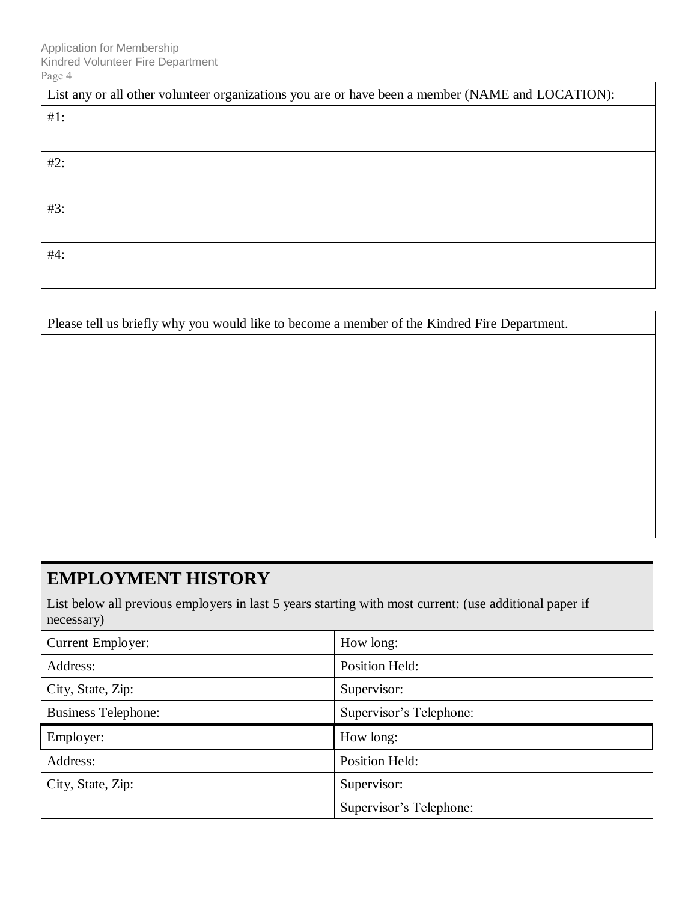| List any or all other volunteer organizations you are or have been a member (NAME and LOCATION): |  |  |
|--------------------------------------------------------------------------------------------------|--|--|
| $#1$ :                                                                                           |  |  |
|                                                                                                  |  |  |
| $#2$ :                                                                                           |  |  |
|                                                                                                  |  |  |
| #3:                                                                                              |  |  |
|                                                                                                  |  |  |
| #4:                                                                                              |  |  |
|                                                                                                  |  |  |

Please tell us briefly why you would like to become a member of the Kindred Fire Department.

## **EMPLOYMENT HISTORY**

List below all previous employers in last 5 years starting with most current: (use additional paper if necessary)

| <b>Current Employer:</b>   | How long:               |  |
|----------------------------|-------------------------|--|
| Address:                   | <b>Position Held:</b>   |  |
| City, State, Zip:          | Supervisor:             |  |
| <b>Business Telephone:</b> | Supervisor's Telephone: |  |
|                            |                         |  |
| Employer:                  | How long:               |  |
| Address:                   | <b>Position Held:</b>   |  |
| City, State, Zip:          | Supervisor:             |  |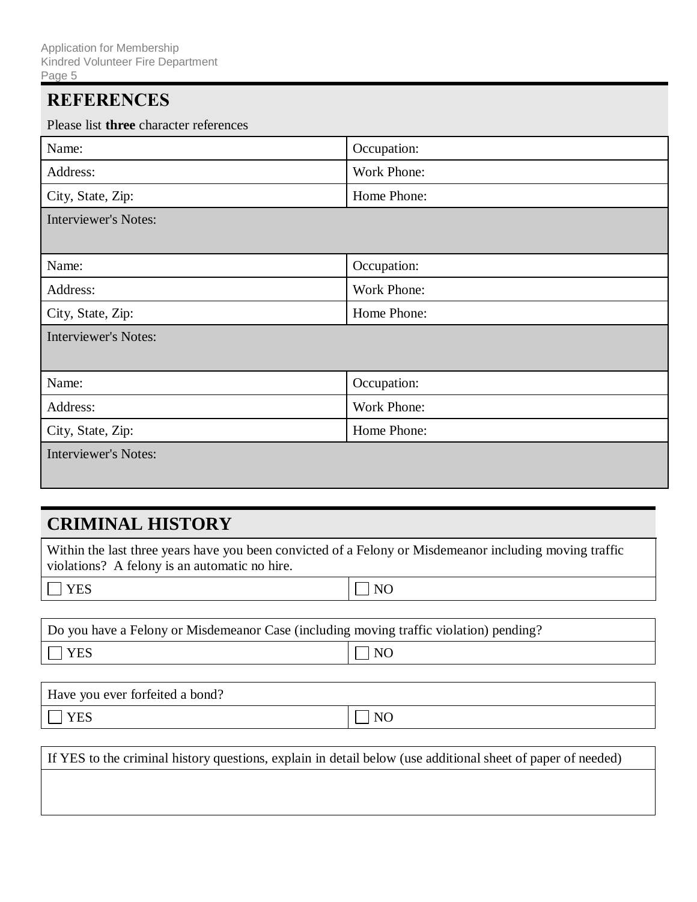### **REFERENCES**

Please list **three** character references

| I Rase hot <b>three</b> character references |             |  |
|----------------------------------------------|-------------|--|
| Name:                                        | Occupation: |  |
| Address:                                     | Work Phone: |  |
| City, State, Zip:                            | Home Phone: |  |
| <b>Interviewer's Notes:</b>                  |             |  |
|                                              |             |  |
| Name:                                        | Occupation: |  |
| Address:                                     | Work Phone: |  |
| City, State, Zip:                            | Home Phone: |  |
| <b>Interviewer's Notes:</b>                  |             |  |
|                                              |             |  |
| Name:                                        | Occupation: |  |
| Address:                                     | Work Phone: |  |
| City, State, Zip:                            | Home Phone: |  |
| <b>Interviewer's Notes:</b>                  |             |  |
|                                              |             |  |

#### **CRIMINAL HISTORY**

Within the last three years have you been convicted of a Felony or Misdemeanor including moving traffic violations? A felony is an automatic no hire.

 $\Box$  YES  $\Box$  NO

| Do you have a Felony or Misdemeanor Case (including moving traffic violation) pending? |                    |  |
|----------------------------------------------------------------------------------------|--------------------|--|
| $\Box$ YES                                                                             | $\vert$ $\vert$ NO |  |

| Have you ever forfeited a bond? |     |
|---------------------------------|-----|
| <b>YES</b>                      | NC. |

If YES to the criminal history questions, explain in detail below (use additional sheet of paper of needed)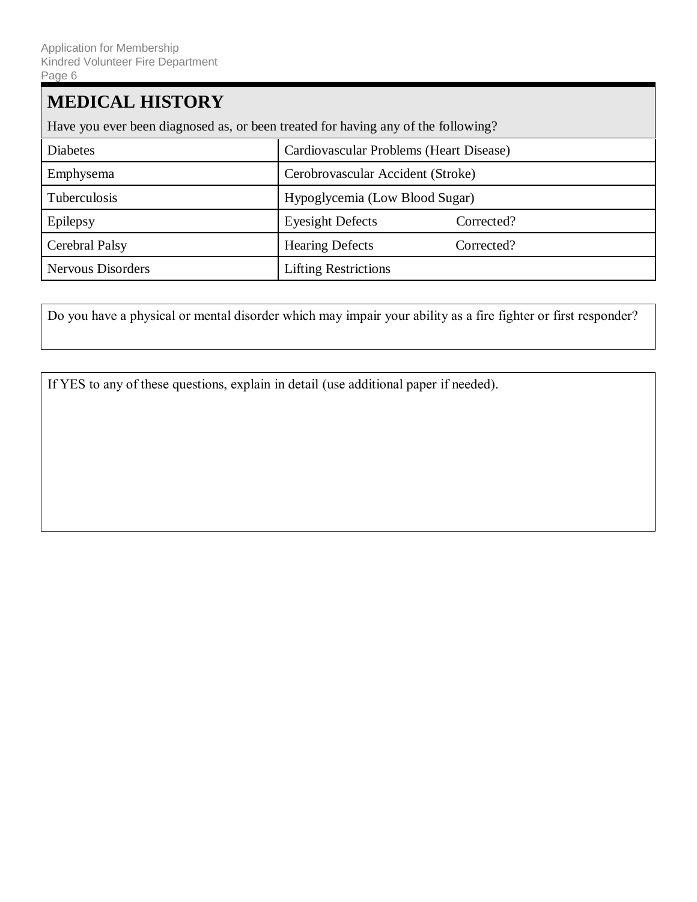# **MEDICAL HISTORY** Have you ever been diagnosed as, or been treated for having any of the following? Diabetes Cardiovascular Problems (Heart Disease) Emphysema Cerobrovascular Accident (Stroke) Tuberculosis Hypoglycemia (Low Blood Sugar) Epilepsy Epilepsy Eyesight Defects Corrected? Cerebral Palsy **Hearing Defects** Corrected? Nervous Disorders **Lifting Restrictions**

Do you have a physical or mental disorder which may impair your ability as a fire fighter or first responder?

If YES to any of these questions, explain in detail (use additional paper if needed).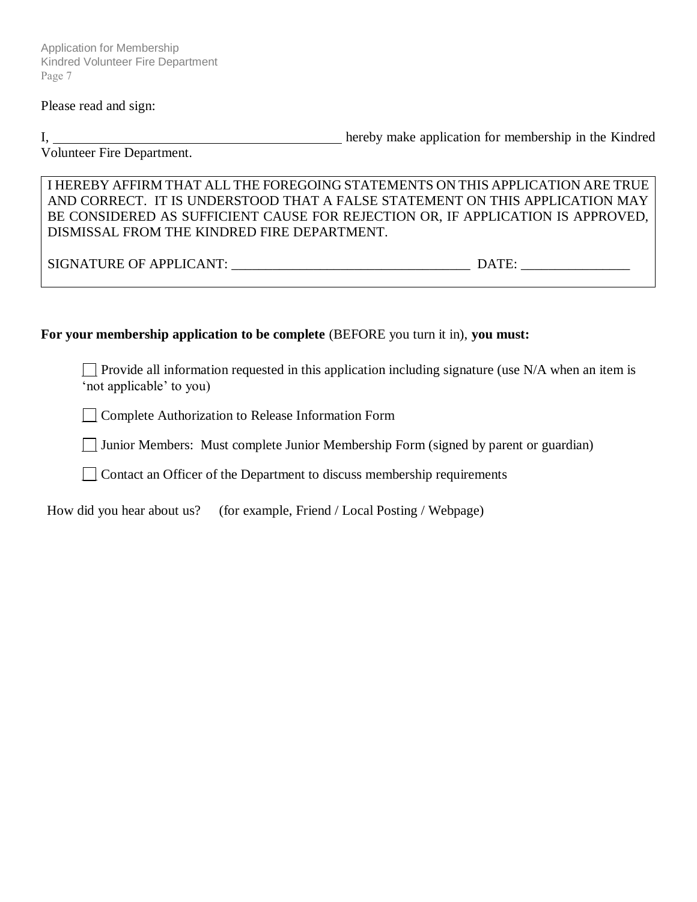Application for Membership Kindred Volunteer Fire Department Page 7

#### Please read and sign:

I, 1. **hereby make application for membership in the Kindred** 

Volunteer Fire Department.

I HEREBY AFFIRM THAT ALL THE FOREGOING STATEMENTS ON THIS APPLICATION ARE TRUE AND CORRECT. IT IS UNDERSTOOD THAT A FALSE STATEMENT ON THIS APPLICATION MAY BE CONSIDERED AS SUFFICIENT CAUSE FOR REJECTION OR, IF APPLICATION IS APPROVED, DISMISSAL FROM THE KINDRED FIRE DEPARTMENT.

SIGNATURE OF APPLICANT: \_\_\_\_\_\_\_\_\_\_\_\_\_\_\_\_\_\_\_\_\_\_\_\_\_\_\_\_\_\_\_\_\_\_\_ DATE: \_\_\_\_\_\_\_\_\_\_\_\_\_\_\_\_

#### **For your membership application to be complete** (BEFORE you turn it in), **you must:**

Provide all information requested in this application including signature (use  $N/A$  when an item is 'not applicable' to you)

**Complete Authorization to Release Information Form** 

 $\Box$  Junior Members: Must complete Junior Membership Form (signed by parent or guardian)

Contact an Officer of the Department to discuss membership requirements

How did you hear about us? (for example, Friend / Local Posting / Webpage)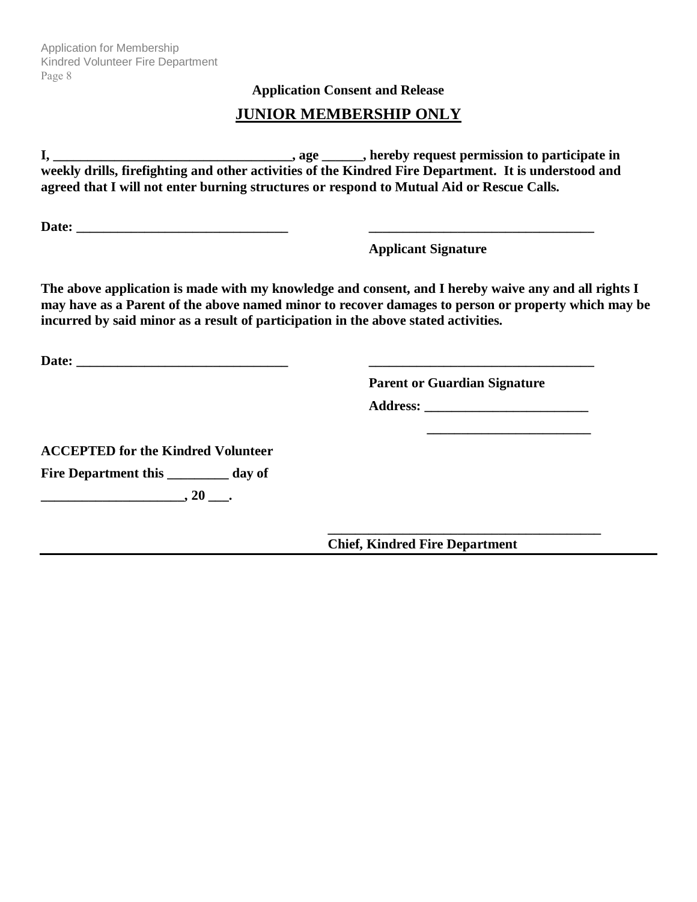Application for Membership Kindred Volunteer Fire Department Page 8

**Application Consent and Release**

#### **JUNIOR MEMBERSHIP ONLY**

**I, \_\_\_\_\_\_\_\_\_\_\_\_\_\_\_\_\_\_\_\_\_\_\_\_\_\_\_\_\_\_\_\_\_\_\_, age \_\_\_\_\_\_, hereby request permission to participate in weekly drills, firefighting and other activities of the Kindred Fire Department. It is understood and agreed that I will not enter burning structures or respond to Mutual Aid or Rescue Calls.**

Date: **Date: Example 2.1 <b>Date: Contained 2.1** 

**Applicant Signature** 

**The above application is made with my knowledge and consent, and I hereby waive any and all rights I may have as a Parent of the above named minor to recover damages to person or property which may be incurred by said minor as a result of participation in the above stated activities.**

**Date: \_\_\_\_\_\_\_\_\_\_\_\_\_\_\_\_\_\_\_\_\_\_\_\_\_\_\_\_\_\_\_ \_\_\_\_\_\_\_\_\_\_\_\_\_\_\_\_\_\_\_\_\_\_\_\_\_\_\_\_\_\_\_\_\_**

**Parent or Guardian Signature** 

**\_\_\_\_\_\_\_\_\_\_\_\_\_\_\_\_\_\_\_\_\_\_\_\_\_\_\_\_\_\_\_\_\_\_\_\_\_\_\_\_**

 **\_\_\_\_\_\_\_\_\_\_\_\_\_\_\_\_\_\_\_\_\_\_\_\_**

**Address: \_\_\_\_\_\_\_\_\_\_\_\_\_\_\_\_\_\_\_\_\_\_\_\_**

**ACCEPTED for the Kindred Volunteer Fire Department this \_\_\_\_\_\_\_\_\_ day of**

**\_\_\_\_\_\_\_\_\_\_\_\_\_\_\_\_\_\_\_\_\_, 20 \_\_\_.**

**Chief, Kindred Fire Department**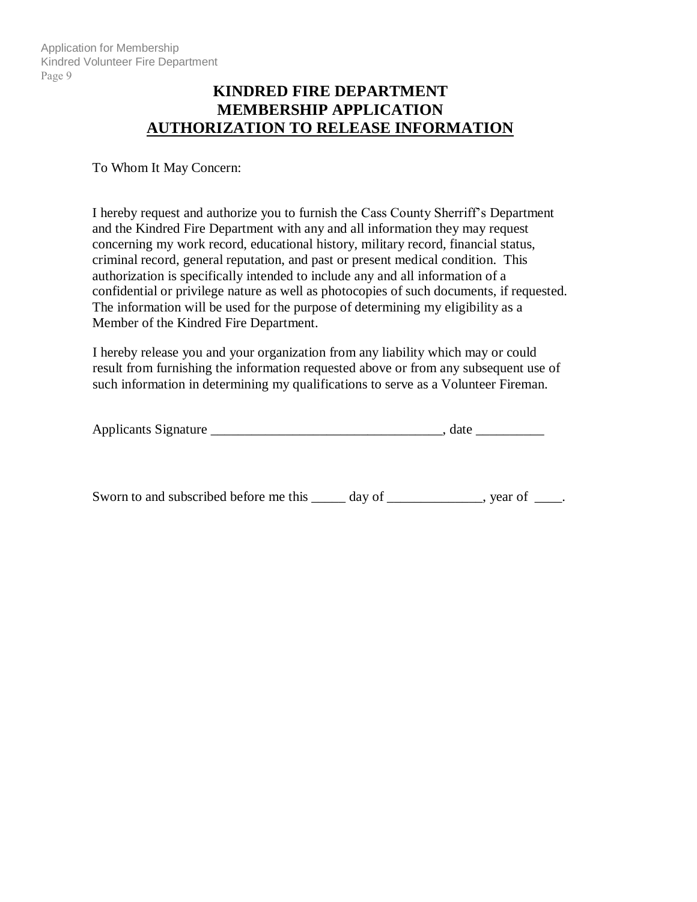#### **KINDRED FIRE DEPARTMENT MEMBERSHIP APPLICATION AUTHORIZATION TO RELEASE INFORMATION**

#### To Whom It May Concern:

I hereby request and authorize you to furnish the Cass County Sherriff's Department and the Kindred Fire Department with any and all information they may request concerning my work record, educational history, military record, financial status, criminal record, general reputation, and past or present medical condition. This authorization is specifically intended to include any and all information of a confidential or privilege nature as well as photocopies of such documents, if requested. The information will be used for the purpose of determining my eligibility as a Member of the Kindred Fire Department.

I hereby release you and your organization from any liability which may or could result from furnishing the information requested above or from any subsequent use of such information in determining my qualifications to serve as a Volunteer Fireman.

| <b>Applicants Signature</b> |  |  |
|-----------------------------|--|--|
|-----------------------------|--|--|

Sworn to and subscribed before me this \_\_\_\_\_ day of \_\_\_\_\_\_\_\_\_\_\_, year of \_\_\_\_.